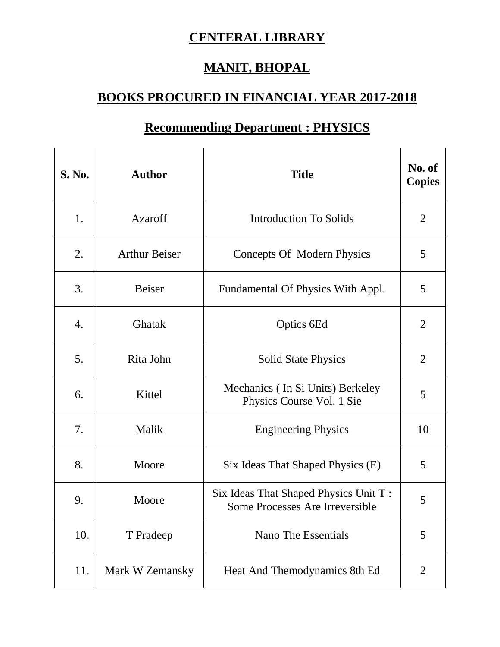## **CENTERAL LIBRARY**

## **MANIT, BHOPAL**

## **BOOKS PROCURED IN FINANCIAL YEAR 2017-2018**

| S. No.           | <b>Author</b>        | <b>Title</b>                                                             | No. of<br><b>Copies</b> |
|------------------|----------------------|--------------------------------------------------------------------------|-------------------------|
| 1.               | Azaroff              | <b>Introduction To Solids</b>                                            | $\overline{2}$          |
| 2.               | <b>Arthur Beiser</b> | Concepts Of Modern Physics                                               | 5                       |
| 3.               | <b>Beiser</b>        | Fundamental Of Physics With Appl.                                        | 5                       |
| $\overline{4}$ . | Ghatak               | Optics 6Ed                                                               | $\overline{2}$          |
| 5.               | Rita John            | <b>Solid State Physics</b>                                               | $\overline{2}$          |
| 6.               | Kittel               | Mechanics (In Si Units) Berkeley<br>Physics Course Vol. 1 Sie            | 5                       |
| 7.               | Malik                | <b>Engineering Physics</b>                                               | 10                      |
| 8.               | Moore                | Six Ideas That Shaped Physics (E)                                        | 5                       |
| 9.               | Moore                | Six Ideas That Shaped Physics Unit T:<br>Some Processes Are Irreversible | 5                       |
| 10.              | T Pradeep            | Nano The Essentials                                                      | 5                       |

11. Mark W Zemansky | Heat And Themodynamics 8th Ed | 2

## **Recommending Department : PHYSICS**